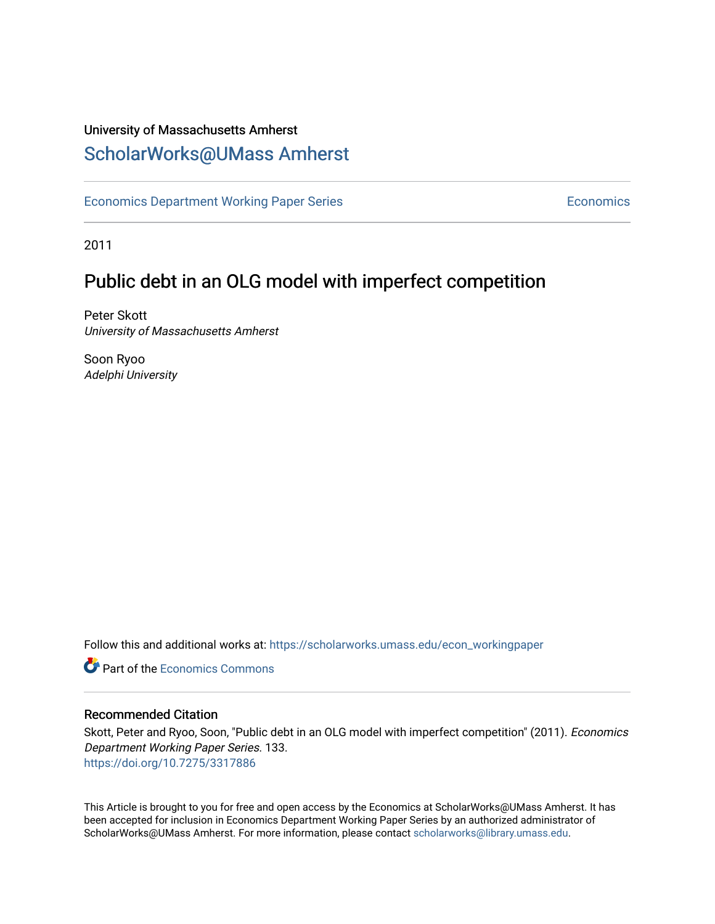## University of Massachusetts Amherst [ScholarWorks@UMass Amherst](https://scholarworks.umass.edu/)

[Economics Department Working Paper Series](https://scholarworks.umass.edu/econ_workingpaper) **Economics** Economics

2011

## Public debt in an OLG model with imperfect competition

Peter Skott University of Massachusetts Amherst

Soon Ryoo Adelphi University

Follow this and additional works at: [https://scholarworks.umass.edu/econ\\_workingpaper](https://scholarworks.umass.edu/econ_workingpaper?utm_source=scholarworks.umass.edu%2Fecon_workingpaper%2F133&utm_medium=PDF&utm_campaign=PDFCoverPages) 

**C** Part of the [Economics Commons](http://network.bepress.com/hgg/discipline/340?utm_source=scholarworks.umass.edu%2Fecon_workingpaper%2F133&utm_medium=PDF&utm_campaign=PDFCoverPages)

#### Recommended Citation

Skott, Peter and Ryoo, Soon, "Public debt in an OLG model with imperfect competition" (2011). Economics Department Working Paper Series. 133. <https://doi.org/10.7275/3317886>

This Article is brought to you for free and open access by the Economics at ScholarWorks@UMass Amherst. It has been accepted for inclusion in Economics Department Working Paper Series by an authorized administrator of ScholarWorks@UMass Amherst. For more information, please contact [scholarworks@library.umass.edu.](mailto:scholarworks@library.umass.edu)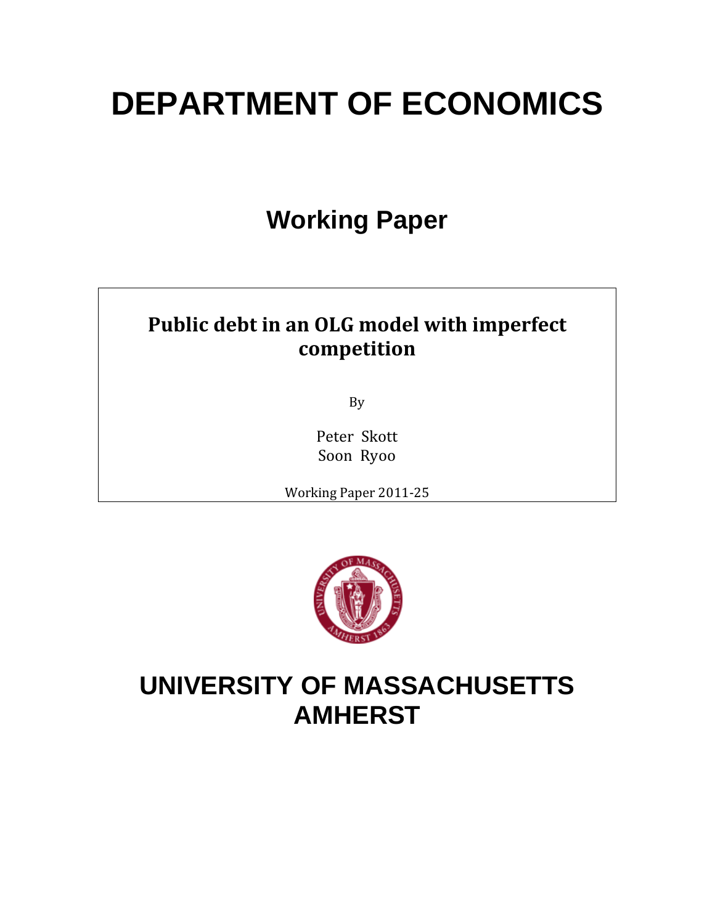# **DEPARTMENT OF ECONOMICS**

## **Working Paper**

## **Public debt in an OLG model with imperfect competition**

By

Peter Skott Soon Ryoo

Working Paper 2011‐25



## **UNIVERSITY OF MASSACHUSETTS AMHERST**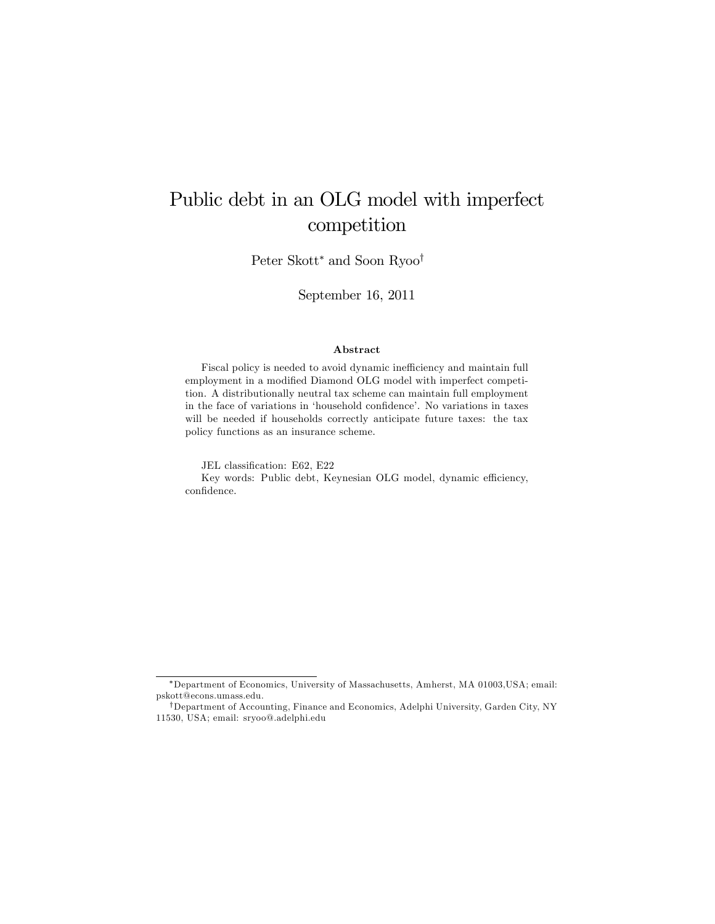## Public debt in an OLG model with imperfect competition

Peter Skott\* and Soon Ryoo<sup>†</sup>

September 16, 2011

#### Abstract

Fiscal policy is needed to avoid dynamic inefficiency and maintain full employment in a modified Diamond OLG model with imperfect competition. A distributionally neutral tax scheme can maintain full employment in the face of variations in 'household confidence'. No variations in taxes will be needed if households correctly anticipate future taxes: the tax policy functions as an insurance scheme.

JEL classification: E62, E22 Key words: Public debt, Keynesian OLG model, dynamic efficiency, confidence.

Department of Economics, University of Massachusetts, Amherst, MA 01003,USA; email: pskott@econs.umass.edu.

<sup>&</sup>lt;sup>†</sup>Department of Accounting, Finance and Economics, Adelphi University, Garden City, NY 11530, USA; email: sryoo@.adelphi.edu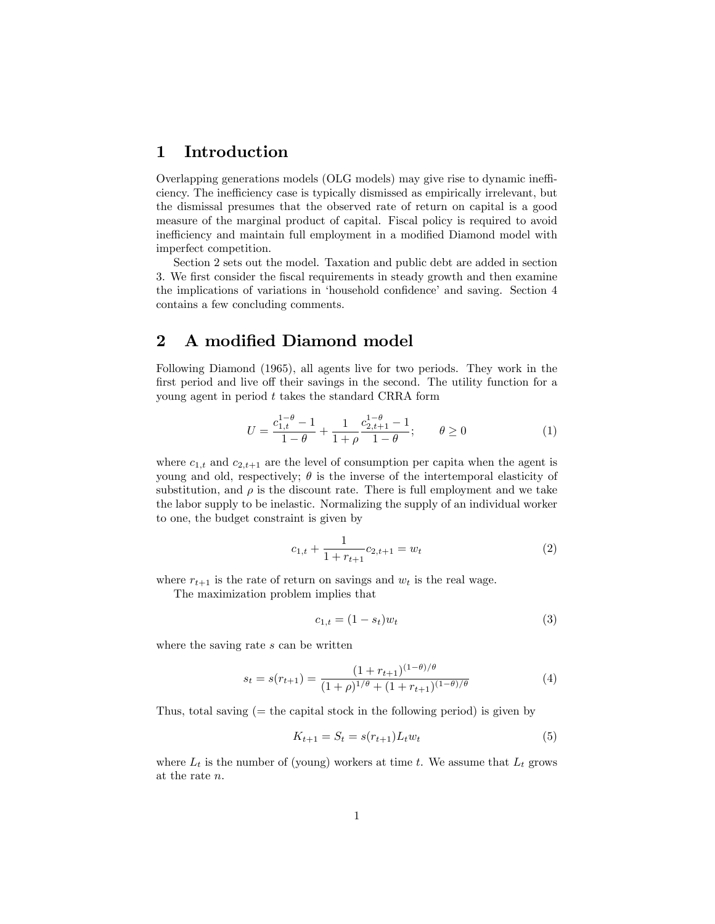### 1 Introduction

Overlapping generations models (OLG models) may give rise to dynamic inefficiency. The inefficiency case is typically dismissed as empirically irrelevant, but the dismissal presumes that the observed rate of return on capital is a good measure of the marginal product of capital. Fiscal policy is required to avoid inefficiency and maintain full employment in a modified Diamond model with imperfect competition.

Section 2 sets out the model. Taxation and public debt are added in section 3. We first consider the fiscal requirements in steady growth and then examine the implications of variations in 'household confidence' and saving. Section 4 contains a few concluding comments.

### 2 A modified Diamond model

Following Diamond (1965), all agents live for two periods. They work in the first period and live off their savings in the second. The utility function for a young agent in period  $t$  takes the standard CRRA form

$$
U = \frac{c_{1,t}^{1-\theta} - 1}{1-\theta} + \frac{1}{1+\rho} \frac{c_{2,t+1}^{1-\theta} - 1}{1-\theta}; \qquad \theta \ge 0
$$
 (1)

where  $c_{1,t}$  and  $c_{2,t+1}$  are the level of consumption per capita when the agent is young and old, respectively;  $\theta$  is the inverse of the intertemporal elasticity of substitution, and  $\rho$  is the discount rate. There is full employment and we take the labor supply to be inelastic. Normalizing the supply of an individual worker to one, the budget constraint is given by

$$
c_{1,t} + \frac{1}{1 + r_{t+1}} c_{2,t+1} = w_t
$$
 (2)

where  $r_{t+1}$  is the rate of return on savings and  $w_t$  is the real wage.

The maximization problem implies that

$$
c_{1,t} = (1 - s_t)w_t
$$
 (3)

where the saving rate s can be written

$$
s_t = s(r_{t+1}) = \frac{(1 + r_{t+1})^{(1-\theta)/\theta}}{(1+\rho)^{1/\theta} + (1 + r_{t+1})^{(1-\theta)/\theta}}
$$
(4)

Thus, total saving  $(=$  the capital stock in the following period) is given by

$$
K_{t+1} = S_t = s(r_{t+1})L_t w_t
$$
\n(5)

where  $L_t$  is the number of (young) workers at time t. We assume that  $L_t$  grows at the rate n: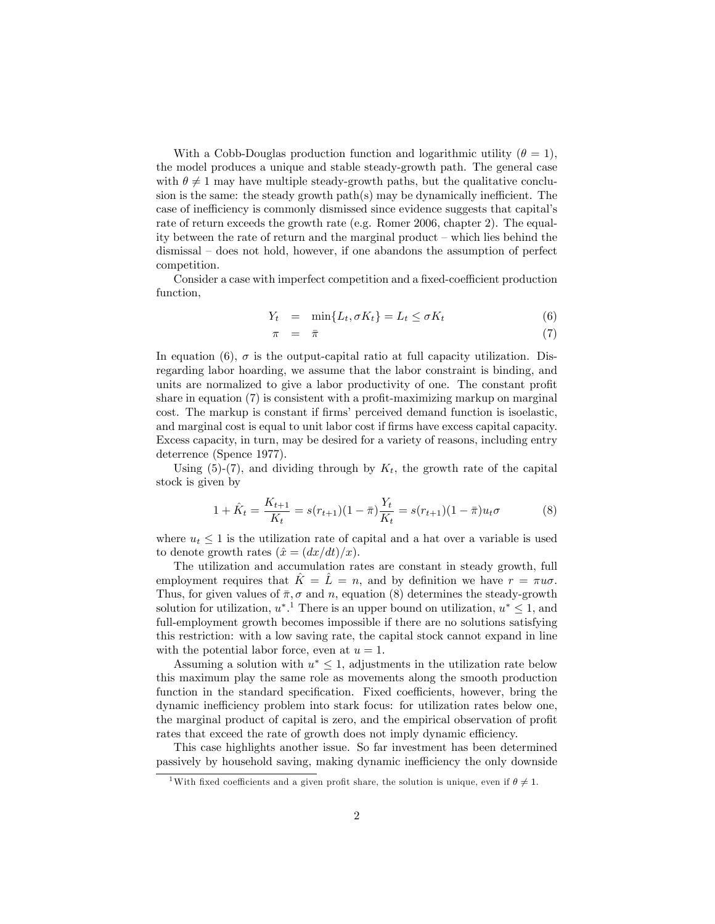With a Cobb-Douglas production function and logarithmic utility  $(\theta = 1)$ , the model produces a unique and stable steady-growth path. The general case with  $\theta \neq 1$  may have multiple steady-growth paths, but the qualitative conclusion is the same: the steady growth path $(s)$  may be dynamically inefficient. The case of inefficiency is commonly dismissed since evidence suggests that capital's rate of return exceeds the growth rate (e.g. Romer 2006, chapter 2). The equality between the rate of return and the marginal product  $-\text{which}$  lies behind the  $d$ ismissal  $-\text{ does not hold},$  however, if one abandons the assumption of perfect competition.

Consider a case with imperfect competition and a fixed-coefficient production function,

$$
Y_t = \min\{L_t, \sigma K_t\} = L_t \le \sigma K_t \tag{6}
$$

$$
\pi = \bar{\pi} \tag{7}
$$

In equation (6),  $\sigma$  is the output-capital ratio at full capacity utilization. Disregarding labor hoarding, we assume that the labor constraint is binding, and units are normalized to give a labor productivity of one. The constant profit share in equation  $(7)$  is consistent with a profit-maximizing markup on marginal cost. The markup is constant if firms' perceived demand function is isoelastic, and marginal cost is equal to unit labor cost if firms have excess capital capacity. Excess capacity, in turn, may be desired for a variety of reasons, including entry deterrence (Spence 1977).

Using (5)-(7), and dividing through by  $K_t$ , the growth rate of the capital stock is given by

$$
1 + \hat{K}_t = \frac{K_{t+1}}{K_t} = s(r_{t+1})(1 - \bar{\pi})\frac{Y_t}{K_t} = s(r_{t+1})(1 - \bar{\pi})u_t\sigma
$$
(8)

where  $u_t \leq 1$  is the utilization rate of capital and a hat over a variable is used to denote growth rates  $(\hat{x} = (dx/dt)/x).$ 

The utilization and accumulation rates are constant in steady growth, full employment requires that  $\hat{K} = \hat{L} = n$ , and by definition we have  $r = \pi u\sigma$ . Thus, for given values of  $\bar{\pi}, \sigma$  and n, equation (8) determines the steady-growth solution for utilization,  $u^*$ . There is an upper bound on utilization,  $u^* \leq 1$ , and full-employment growth becomes impossible if there are no solutions satisfying this restriction: with a low saving rate, the capital stock cannot expand in line with the potential labor force, even at  $u = 1$ .

Assuming a solution with  $u^* \leq 1$ , adjustments in the utilization rate below this maximum play the same role as movements along the smooth production function in the standard specification. Fixed coefficients, however, bring the dynamic inefficiency problem into stark focus: for utilization rates below one, the marginal product of capital is zero, and the empirical observation of profit rates that exceed the rate of growth does not imply dynamic efficiency.

This case highlights another issue. So far investment has been determined passively by household saving, making dynamic inefficiency the only downside

<sup>&</sup>lt;sup>1</sup>With fixed coefficients and a given profit share, the solution is unique, even if  $\theta \neq 1$ .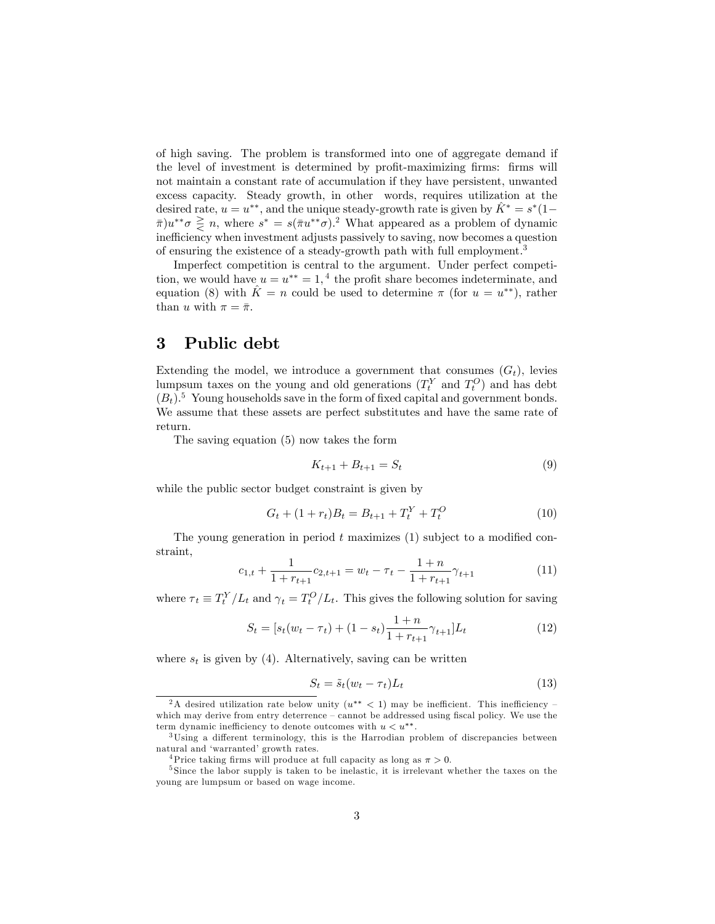of high saving. The problem is transformed into one of aggregate demand if the level of investment is determined by profit-maximizing firms: firms will not maintain a constant rate of accumulation if they have persistent, unwanted excess capacity. Steady growth, in other words, requires utilization at the desired rate,  $u = u^{**}$ , and the unique steady-growth rate is given by  $\hat{K}^* = s^*(1 \bar{\pi}$ ) $u^{**}\sigma \geq n$ , where  $s^* = s(\bar{\pi}u^{**}\sigma)^2$ . What appeared as a problem of dynamic inefficiency when investment adjusts passively to saving, now becomes a question of ensuring the existence of a steady-growth path with full employment.<sup>3</sup>

Imperfect competition is central to the argument. Under perfect competition, we would have  $u = u^{**} = 1$ , <sup>4</sup> the profit share becomes indeterminate, and equation (8) with  $\hat{K} = n$  could be used to determine  $\pi$  (for  $u = u^{**}$ ), rather than u with  $\pi = \bar{\pi}$ .

### 3 Public debt

Extending the model, we introduce a government that consumes  $(G_t)$ , levies lumpsum taxes on the young and old generations  $(T_t^Y$  and  $T_t^O$ ) and has debt  $(B_t)$ .<sup>5</sup> Young households save in the form of fixed capital and government bonds. We assume that these assets are perfect substitutes and have the same rate of return.

The saving equation (5) now takes the form

$$
K_{t+1} + B_{t+1} = S_t \tag{9}
$$

while the public sector budget constraint is given by

$$
G_t + (1 + r_t)B_t = B_{t+1} + T_t^Y + T_t^O \tag{10}
$$

The young generation in period  $t$  maximizes  $(1)$  subject to a modified constraint,

$$
c_{1,t} + \frac{1}{1 + r_{t+1}} c_{2,t+1} = w_t - \tau_t - \frac{1+n}{1 + r_{t+1}} \gamma_{t+1}
$$
(11)

where  $\tau_t \equiv T_t^Y/L_t$  and  $\gamma_t = T_t^O/L_t$ . This gives the following solution for saving

$$
S_t = [s_t(w_t - \tau_t) + (1 - s_t) \frac{1 + n}{1 + r_{t+1}} \gamma_{t+1}] L_t
$$
\n(12)

where  $s_t$  is given by (4). Alternatively, saving can be written

$$
S_t = \tilde{s}_t (w_t - \tau_t) L_t \tag{13}
$$

<sup>&</sup>lt;sup>2</sup>A desired utilization rate below unity  $(u^{**} < 1)$  may be inefficient. This inefficiency – which may derive from entry deterrence  $-\text{cannot}$  be addressed using fiscal policy. We use the term dynamic inefficiency to denote outcomes with  $u < u^{**}$ .

 $3$ Using a different terminology, this is the Harrodian problem of discrepancies between natural and 'warranted' growth rates.

<sup>&</sup>lt;sup>4</sup>Price taking firms will produce at full capacity as long as  $\pi > 0$ .

<sup>&</sup>lt;sup>5</sup>Since the labor supply is taken to be inelastic, it is irrelevant whether the taxes on the young are lumpsum or based on wage income.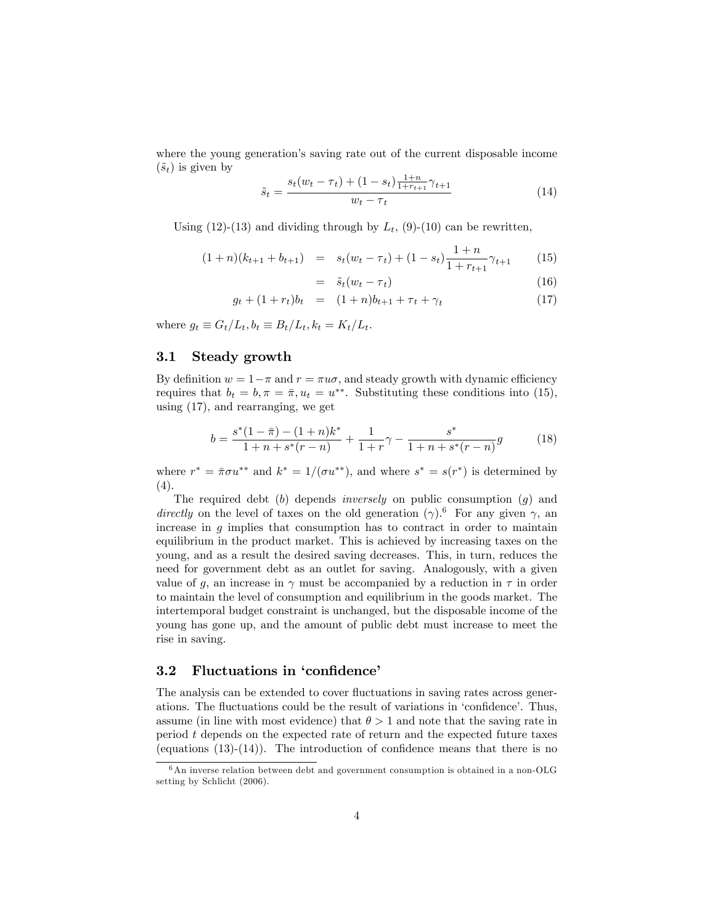where the young generation's saving rate out of the current disposable income  $(\tilde{s}_t)$  is given by

$$
\tilde{s}_t = \frac{s_t(w_t - \tau_t) + (1 - s_t)\frac{1 + n}{1 + r_{t+1}}\gamma_{t+1}}{w_t - \tau_t}
$$
\n(14)

Using (12)-(13) and dividing through by  $L_t$ , (9)-(10) can be rewritten,

$$
(1+n)(k_{t+1} + b_{t+1}) = s_t(w_t - \tau_t) + (1 - s_t) \frac{1+n}{1 + r_{t+1}} \gamma_{t+1}
$$
 (15)

$$
= \tilde{s}_t(w_t - \tau_t) \tag{16}
$$

$$
g_t + (1 + r_t)b_t = (1 + n)b_{t+1} + \tau_t + \gamma_t \tag{17}
$$

where  $g_t \equiv G_t/L_t, b_t \equiv B_t/L_t, k_t = K_t/L_t$ .

#### 3.1 Steady growth

By definition  $w = 1 - \pi$  and  $r = \pi u\sigma$ , and steady growth with dynamic efficiency requires that  $b_t = b, \pi = \bar{\pi}, u_t = u^{**}$ . Substituting these conditions into (15), using (17), and rearranging, we get

$$
b = \frac{s^*(1-\bar{\pi}) - (1+n)k^*}{1+n+s^*(r-n)} + \frac{1}{1+r}\gamma - \frac{s^*}{1+n+s^*(r-n)}g
$$
(18)

where  $r^* = \pi \sigma u^{**}$  and  $k^* = 1/(\sigma u^{**})$ , and where  $s^* = s(r^*)$  is determined by  $(4).$ 

The required debt  $(b)$  depends *inversely* on public consumption  $(g)$  and directly on the level of taxes on the old generation  $(\gamma)$ .<sup>6</sup> For any given  $\gamma$ , an increase in  $g$  implies that consumption has to contract in order to maintain equilibrium in the product market. This is achieved by increasing taxes on the young, and as a result the desired saving decreases. This, in turn, reduces the need for government debt as an outlet for saving. Analogously, with a given value of g, an increase in  $\gamma$  must be accompanied by a reduction in  $\tau$  in order to maintain the level of consumption and equilibrium in the goods market. The intertemporal budget constraint is unchanged, but the disposable income of the young has gone up, and the amount of public debt must increase to meet the rise in saving.

#### 3.2 Fluctuations in 'confidence'

The analysis can be extended to cover fluctuations in saving rates across generations. The fluctuations could be the result of variations in 'confidence'. Thus, assume (in line with most evidence) that  $\theta > 1$  and note that the saving rate in period t depends on the expected rate of return and the expected future taxes (equations  $(13)-(14)$ ). The introduction of confidence means that there is no

 $6$ An inverse relation between debt and government consumption is obtained in a non-OLG setting by Schlicht (2006).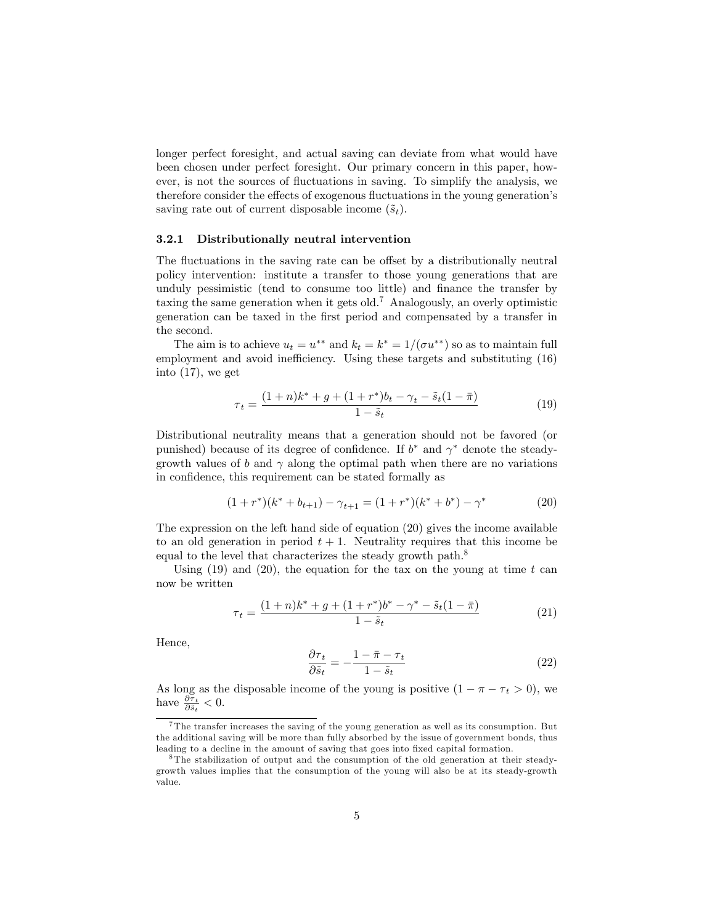longer perfect foresight, and actual saving can deviate from what would have been chosen under perfect foresight. Our primary concern in this paper, however, is not the sources of fluctuations in saving. To simplify the analysis, we therefore consider the effects of exogenous fluctuations in the young generation's saving rate out of current disposable income  $(\tilde{s}_t)$ .

#### 3.2.1 Distributionally neutral intervention

The fluctuations in the saving rate can be offset by a distributionally neutral policy intervention: institute a transfer to those young generations that are unduly pessimistic (tend to consume too little) and finance the transfer by taxing the same generation when it gets old.<sup>7</sup> Analogously, an overly optimistic generation can be taxed in the Örst period and compensated by a transfer in the second.

The aim is to achieve  $u_t = u^{**}$  and  $k_t = k^* = 1/(\sigma u^{**})$  so as to maintain full employment and avoid inefficiency. Using these targets and substituting (16) into (17), we get

$$
\tau_t = \frac{(1+n)k^* + g + (1+r^*)b_t - \gamma_t - \tilde{s}_t(1-\bar{\pi})}{1-\tilde{s}_t} \tag{19}
$$

Distributional neutrality means that a generation should not be favored (or punished) because of its degree of confidence. If  $b^*$  and  $\gamma^*$  denote the steadygrowth values of b and  $\gamma$  along the optimal path when there are no variations in confidence, this requirement can be stated formally as

$$
(1+r^*)(k^* + b_{t+1}) - \gamma_{t+1} = (1+r^*)(k^* + b^*) - \gamma^*
$$
\n(20)

The expression on the left hand side of equation (20) gives the income available to an old generation in period  $t + 1$ . Neutrality requires that this income be equal to the level that characterizes the steady growth path.<sup>8</sup>

Using  $(19)$  and  $(20)$ , the equation for the tax on the young at time t can now be written

$$
\tau_t = \frac{(1+n)k^* + g + (1+r^*)b^* - \gamma^* - \tilde{s}_t(1-\bar{\pi})}{1-\tilde{s}_t} \tag{21}
$$

Hence,

$$
\frac{\partial \tau_t}{\partial \tilde{s}_t} = -\frac{1 - \bar{\pi} - \tau_t}{1 - \tilde{s}_t} \tag{22}
$$

As long as the disposable income of the young is positive  $(1 - \pi - \tau_t > 0)$ , we have  $\frac{\partial \tau_t}{\partial \tilde{s}_t} < 0$ .

<sup>7</sup> The transfer increases the saving of the young generation as well as its consumption. But the additional saving will be more than fully absorbed by the issue of government bonds, thus leading to a decline in the amount of saving that goes into fixed capital formation.

<sup>8</sup> The stabilization of output and the consumption of the old generation at their steadygrowth values implies that the consumption of the young will also be at its steady-growth value.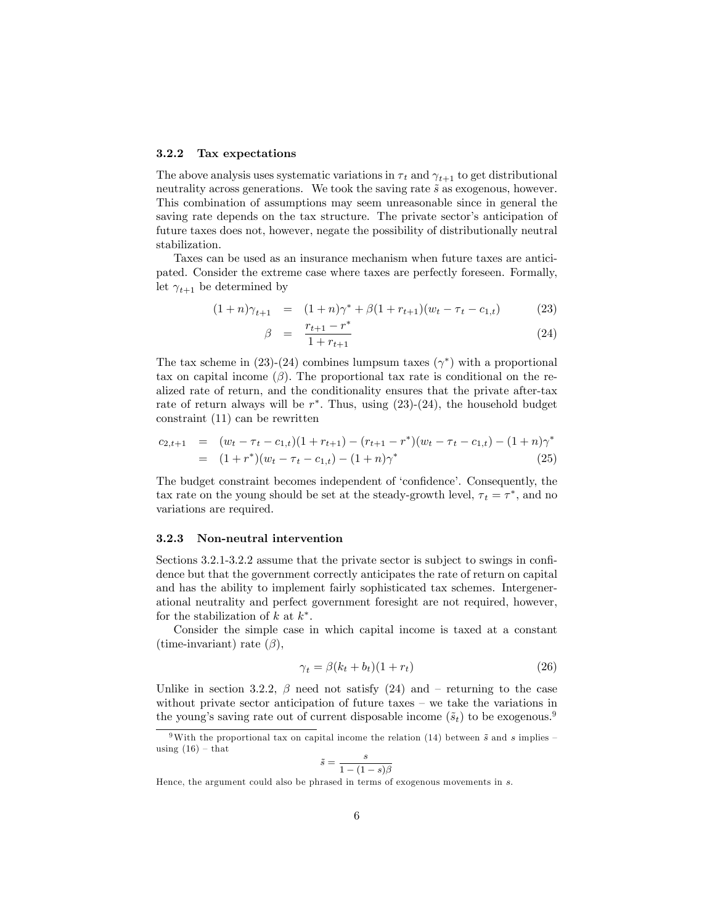#### 3.2.2 Tax expectations

The above analysis uses systematic variations in  $\tau_t$  and  $\gamma_{t+1}$  to get distributional neutrality across generations. We took the saving rate  $\tilde{s}$  as exogenous, however. This combination of assumptions may seem unreasonable since in general the saving rate depends on the tax structure. The private sector's anticipation of future taxes does not, however, negate the possibility of distributionally neutral stabilization.

Taxes can be used as an insurance mechanism when future taxes are anticipated. Consider the extreme case where taxes are perfectly foreseen. Formally, let  $\gamma_{t+1}$  be determined by

$$
(1+n)\gamma_{t+1} = (1+n)\gamma^* + \beta(1+r_{t+1})(w_t - \tau_t - c_{1,t}) \tag{23}
$$

$$
\beta = \frac{r_{t+1} - r^*}{1 + r_{t+1}} \tag{24}
$$

The tax scheme in (23)-(24) combines lumpsum taxes  $(\gamma^*)$  with a proportional tax on capital income  $(\beta)$ . The proportional tax rate is conditional on the realized rate of return, and the conditionality ensures that the private after-tax rate of return always will be  $r^*$ . Thus, using  $(23)-(24)$ , the household budget constraint (11) can be rewritten

$$
c_{2,t+1} = (w_t - \tau_t - c_{1,t})(1 + r_{t+1}) - (r_{t+1} - r^*)(w_t - \tau_t - c_{1,t}) - (1 + n)\gamma^*
$$
  
= 
$$
(1 + r^*)(w_t - \tau_t - c_{1,t}) - (1 + n)\gamma^*
$$
(25)

The budget constraint becomes independent of 'confidence'. Consequently, the tax rate on the young should be set at the steady-growth level,  $\tau_t = \tau^*$ , and no variations are required.

#### 3.2.3 Non-neutral intervention

Sections  $3.2.1 - 3.2.2$  assume that the private sector is subject to swings in confidence but that the government correctly anticipates the rate of return on capital and has the ability to implement fairly sophisticated tax schemes. Intergenerational neutrality and perfect government foresight are not required, however, for the stabilization of  $k$  at  $k^*$ .

Consider the simple case in which capital income is taxed at a constant  $(\text{time-invariant})$  rate  $(\beta)$ ,

$$
\gamma_t = \beta(k_t + b_t)(1 + r_t) \tag{26}
$$

Unlike in section 3.2.2,  $\beta$  need not satisfy (24) and – returning to the case without private sector anticipation of future taxes  $-$  we take the variations in the young's saving rate out of current disposable income  $(\tilde{s}_t)$  to be exogenous.<sup>9</sup>

$$
\tilde{s} = \frac{s}{1 - (1 - s)\beta}
$$

Hence, the argument could also be phrased in terms of exogenous movements in s.

<sup>&</sup>lt;sup>9</sup>With the proportional tax on capital income the relation (14) between  $\tilde{s}$  and s implies – using  $(16)$  – that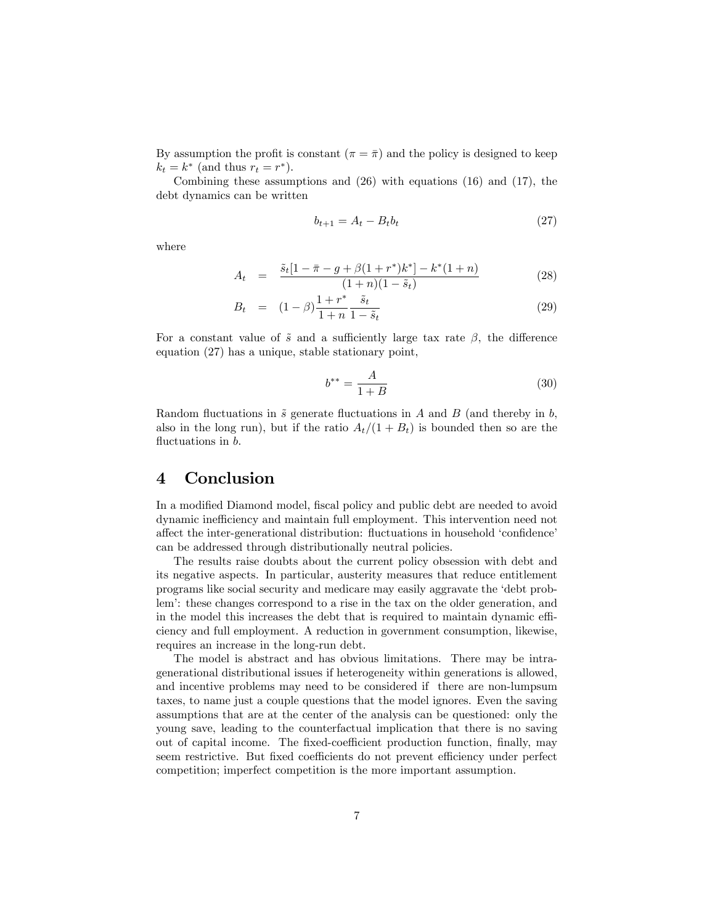By assumption the profit is constant  $(\pi = \bar{\pi})$  and the policy is designed to keep  $k_t = k^*$  (and thus  $r_t = r^*$ ).

Combining these assumptions and (26) with equations (16) and (17), the debt dynamics can be written

$$
b_{t+1} = A_t - B_t b_t \tag{27}
$$

where

$$
A_t = \frac{\tilde{s}_t[1 - \bar{\pi} - g + \beta(1 + r^*)k^*] - k^*(1 + n)}{(1 + n)(1 - \tilde{s}_t)}
$$
(28)

$$
B_t = (1 - \beta) \frac{1 + r^*}{1 + n} \frac{\tilde{s}_t}{1 - \tilde{s}_t}
$$
 (29)

For a constant value of  $\tilde{s}$  and a sufficiently large tax rate  $\beta$ , the difference equation (27) has a unique, stable stationary point,

$$
b^{**} = \frac{A}{1+B} \tag{30}
$$

Random fluctuations in  $\tilde{s}$  generate fluctuations in A and B (and thereby in b, also in the long run), but if the ratio  $A_t/(1 + B_t)$  is bounded then so are the fluctuations in  $b$ .

### 4 Conclusion

In a modified Diamond model, fiscal policy and public debt are needed to avoid dynamic inefficiency and maintain full employment. This intervention need not affect the inter-generational distribution: fluctuations in household 'confidence' can be addressed through distributionally neutral policies.

The results raise doubts about the current policy obsession with debt and its negative aspects. In particular, austerity measures that reduce entitlement programs like social security and medicare may easily aggravate the ëdebt problemí: these changes correspond to a rise in the tax on the older generation, and in the model this increases the debt that is required to maintain dynamic efficiency and full employment. A reduction in government consumption, likewise, requires an increase in the long-run debt.

The model is abstract and has obvious limitations. There may be intragenerational distributional issues if heterogeneity within generations is allowed, and incentive problems may need to be considered if there are non-lumpsum taxes, to name just a couple questions that the model ignores. Even the saving assumptions that are at the center of the analysis can be questioned: only the young save, leading to the counterfactual implication that there is no saving out of capital income. The fixed-coefficient production function, finally, may seem restrictive. But fixed coefficients do not prevent efficiency under perfect competition; imperfect competition is the more important assumption.